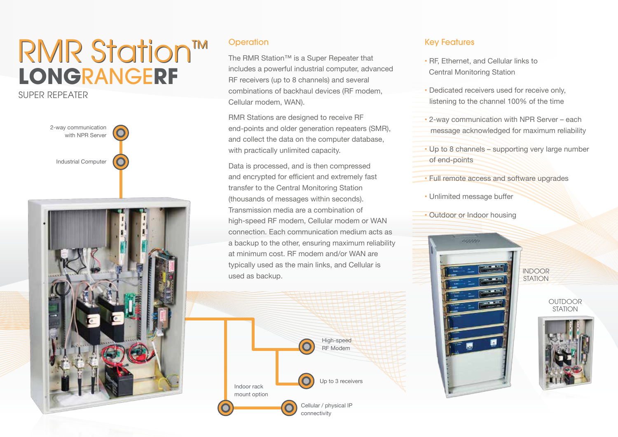## **LONG**RANGE**RF**  RMR Station™

### SUPER REPEATER



#### **Operation**

The RMR Station™ is a Super Repeater that includes a powerful industrial computer, advanced RF receivers (up to 8 channels) and several combinations of backhaul devices (RF modem, Cellular modem, WAN).

RMR Stations are designed to receive RF end-points and older generation repeaters (SMR), and collect the data on the computer database, with practically unlimited capacity.

Data is processed, and is then compressed and encrypted for efficient and extremely fast transfer to the Central Monitoring Station (thousands of messages within seconds). Transmission media are a combination of high-speed RF modem, Cellular modem or WAN connection. Each communication medium acts as a backup to the other, ensuring maximum reliability at minimum cost. RF modem and/or WAN are typically used as the main links, and Cellular is used as backup.<br>
<u>INDOOR</u><br>
STATION



#### Key Features

- RF, Ethernet, and Cellular links to Central Monitoring Station
- Dedicated receivers used for receive only, listening to the channel 100% of the time
- 2-way communication with NPR Server each message acknowledged for maximum reliability
- Up to 8 channels supporting very large number of end-points
- Full remote access and software upgrades
- Unlimited message buffer
- Outdoor or Indoor housing



STATION

OUTDOOR **STATION**